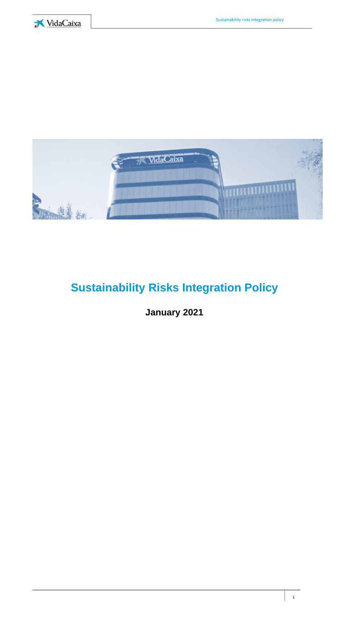



# **Sustainability Risks Integration Policy**

# **January 2021**

1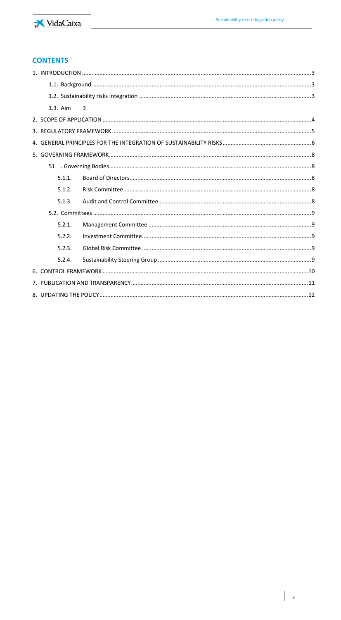

# **CONTENTS**

|  | 1.3. Aim | 3 |  |
|--|----------|---|--|
|  |          |   |  |
|  |          |   |  |
|  |          |   |  |
|  |          |   |  |
|  | 51       |   |  |
|  | 5.1.1.   |   |  |
|  | 5.1.2.   |   |  |
|  | 5.1.3.   |   |  |
|  |          |   |  |
|  | 5.2.1.   |   |  |
|  | 5.2.2.   |   |  |
|  | 5.2.3.   |   |  |
|  | 5.2.4.   |   |  |
|  |          |   |  |
|  |          |   |  |
|  |          |   |  |
|  |          |   |  |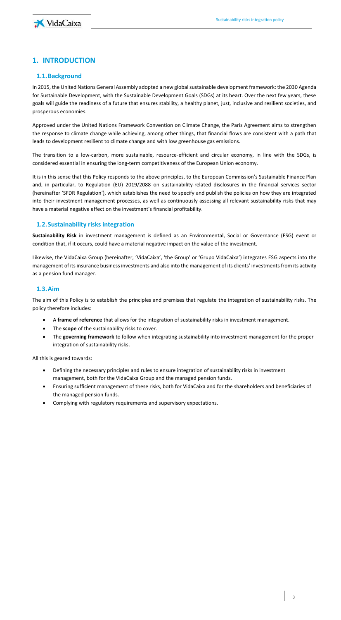

# <span id="page-2-1"></span><span id="page-2-0"></span>**1. INTRODUCTION**

#### **1.1.Background**

In 2015, the United Nations General Assembly adopted a new global sustainable development framework: the 2030 Agenda for Sustainable Development, with the Sustainable Development Goals (SDGs) at its heart. Over the next few years, these goals will guide the readiness of a future that ensures stability, a healthy planet, just, inclusive and resilient societies, and prosperous economies.

Approved under the United Nations Framework Convention on Climate Change, the Paris Agreement aims to strengthen the response to climate change while achieving, among other things, that financial flows are consistent with a path that leads to development resilient to climate change and with low greenhouse gas emissions.

The transition to a low-carbon, more sustainable, resource-efficient and circular economy, in line with the SDGs, is considered essential in ensuring the long-term competitiveness of the European Union economy.

It is in this sense that this Policy responds to the above principles, to the European Commission's Sustainable Finance Plan and, in particular, to Regulation (EU) 2019/2088 on sustainability-related disclosures in the financial services sector (hereinafter 'SFDR Regulation'), which establishes the need to specify and publish the policies on how they are integrated into their investment management processes, as well as continuously assessing all relevant sustainability risks that may have a material negative effect on the investment's financial profitability.

### <span id="page-2-2"></span>**1.2.Sustainability risks integration**

**Sustainability Risk** in investment management is defined as an Environmental, Social or Governance (ESG) event or condition that, if it occurs, could have a material negative impact on the value of the investment.

Likewise, the VidaCaixa Group (hereinafter, 'VidaCaixa', 'the Group' or 'Grupo VidaCaixa') integrates ESG aspects into the management of its insurance business investments and also into the management of its clients' investments from its activity as a pension fund manager.

#### <span id="page-2-3"></span>**1.3.Aim**

The aim of this Policy is to establish the principles and premises that regulate the integration of sustainability risks. The policy therefore includes:

- A **frame of reference** that allows for the integration of sustainability risks in investment management.
- The **scope** of the sustainability risks to cover.
- The **governing framework** to follow when integrating sustainability into investment management for the proper integration of sustainability risks.

All this is geared towards:

- Defining the necessary principles and rules to ensure integration of sustainability risks in investment management, both for the VidaCaixa Group and the managed pension funds.
- Ensuring sufficient management of these risks, both for VidaCaixa and for the shareholders and beneficiaries of the managed pension funds.
- Complying with regulatory requirements and supervisory expectations.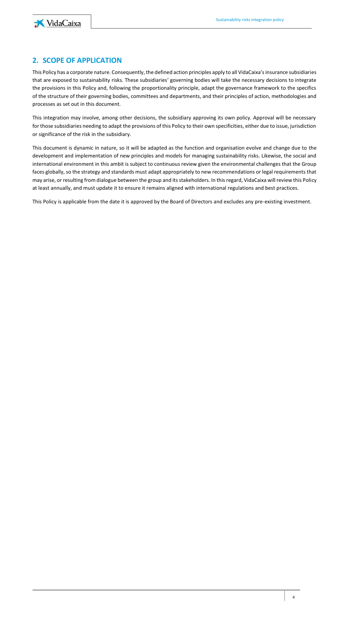

# <span id="page-3-0"></span>**2. SCOPE OF APPLICATION**

This Policy has a corporate nature. Consequently, the defined action principles apply to all VidaCaixa's insurance subsidiaries that are exposed to sustainability risks. These subsidiaries' governing bodies will take the necessary decisions to integrate the provisions in this Policy and, following the proportionality principle, adapt the governance framework to the specifics of the structure of their governing bodies, committees and departments, and their principles of action, methodologies and processes as set out in this document.

This integration may involve, among other decisions, the subsidiary approving its own policy. Approval will be necessary for those subsidiaries needing to adapt the provisions of this Policy to their own specificities, either due to issue, jurisdiction or significance of the risk in the subsidiary.

This document is dynamic in nature, so it will be adapted as the function and organisation evolve and change due to the development and implementation of new principles and models for managing sustainability risks. Likewise, the social and international environment in this ambit is subject to continuous review given the environmental challenges that the Group faces globally, so the strategy and standards must adapt appropriately to new recommendations or legal requirements that may arise, or resulting from dialogue between the group and its stakeholders. In this regard, VidaCaixa will review this Policy at least annually, and must update it to ensure it remains aligned with international regulations and best practices.

This Policy is applicable from the date it is approved by the Board of Directors and excludes any pre-existing investment.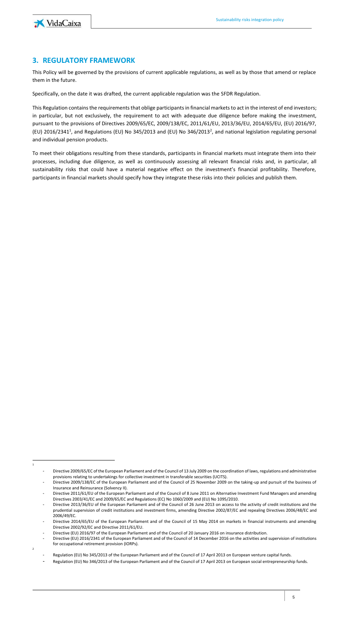

1

2

## <span id="page-4-0"></span>**3. REGULATORY FRAMEWORK**

This Policy will be governed by the provisions of current applicable regulations, as well as by those that amend or replace them in the future.

Specifically, on the date it was drafted, the current applicable regulation was the SFDR Regulation.

This Regulation contains the requirements that oblige participants in financial markets to act in the interest of end investors; in particular, but not exclusively, the requirement to act with adequate due diligence before making the investment, pursuant to the provisions of Directives 2009/65/EC, 2009/138/EC, 2011/61/EU, 2013/36/EU, 2014/65/EU, (EU) 2016/97, (EU) 2016/2341<sup>1</sup>, and Regulations (EU) No 345/2013 and (EU) No 346/2013<sup>2</sup>, and national legislation regulating personal and individual pension products.

To meet their obligations resulting from these standards, participants in financial markets must integrate them into their processes, including due diligence, as well as continuously assessing all relevant financial risks and, in particular, all sustainability risks that could have a material negative effect on the investment's financial profitability. Therefore, participants in financial markets should specify how they integrate these risks into their policies and publish them.

<sup>-</sup> Directive 2009/65/EC of the European Parliament and of the Council of 13 July 2009 on the coordination of laws, regulations and administrative provisions relating to undertakings for collective investment in transferable securities (UCITS).

<sup>-</sup> Directive 2009/138/EC of the European Parliament and of the Council of 25 November 2009 on the taking-up and pursuit of the business of Insurance and Reinsurance (Solvency II).

<sup>-</sup> Directive 2011/61/EU of the European Parliament and of the Council of 8 June 2011 on Alternative Investment Fund Managers and amending Directives 2003/41/EC and 2009/65/EC and Regulations (EC) No 1060/2009 and (EU) No 1095/2010.

Directive 2013/36/EU of the European Parliament and of the Council of 26 June 2013 on access to the activity of credit institutions and the prudential supervision of credit institutions and investment firms, amending Directive 2002/87/EC and repealing Directives 2006/48/EC and 2006/49/EC.

Directive 2014/65/EU of the European Parliament and of the Council of 15 May 2014 on markets in financial instruments and amending Directive 2002/92/EC and Directive 2011/61/EU.

Directive (EU) 2016/97 of the European Parliament and of the Council of 20 January 2016 on insurance distribution.

<sup>-</sup> Directive (EU) 2016/2341 of the European Parliament and of the Council of 14 December 2016 on the activities and supervision of institutions for occupational retirement provision (IORPs).

<sup>-</sup> Regulation (EU) No 345/2013 of the European Parliament and of the Council of 17 April 2013 on European venture capital funds.

Regulation (EU) No 346/2013 of the European Parliament and of the Council of 17 April 2013 on European social entrepreneurship funds.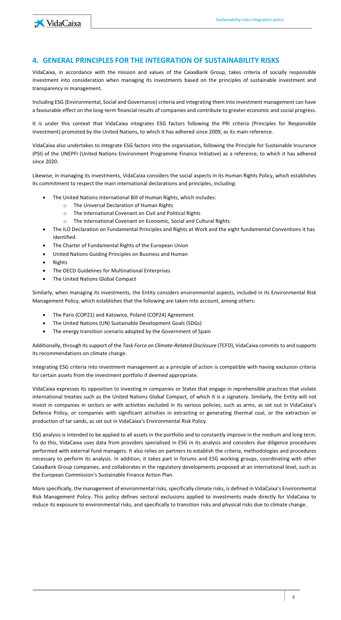

## <span id="page-5-0"></span>**4. GENERAL PRINCIPLES FOR THE INTEGRATION OF SUSTAINABILITY RISKS**

VidaCaixa, in accordance with the mission and values of the CaixaBank Group, takes criteria of socially responsible investment into consideration when managing its investments based on the principles of sustainable investment and transparency in management.

Including ESG (Environmental, Social and Governance) criteria and integrating them into investment management can have a favourable effect on the long-term financial results of companies and contribute to greater economic and social progress.

It is under this context that VidaCaixa integrates ESG factors following the PRI criteria (Principles for Responsible Investment) promoted by the United Nations, to which it has adhered since 2009, as its main reference.

VidaCaixa also undertakes to integrate ESG factors into the organisation, following the Principle for Sustainable Insurance (PSI) of the UNEPFI (United Nations Environment Programme Finance Initiative) as a reference, to which it has adhered since 2020.

Likewise, in managing its investments, VidaCaixa considers the social aspects in its Human Rights Policy, which establishes its commitment to respect the main international declarations and principles, including:

- The United Nations International Bill of Human Rights, which includes:
	- o The Universal Declaration of Human Rights
	- o The International Covenant on Civil and Political Rights
	- o The International Covenant on Economic, Social and Cultural Rights
- The ILO Declaration on Fundamental Principles and Rights at Work and the eight fundamental Conventions it has identified.
- The Charter of Fundamental Rights of the European Union
- United Nations Guiding Principles on Business and Human
- Rights
- The OECD Guidelines for Multinational Enterprises
- The United Nations Global Compact

Similarly, when managing its investments, the Entity considers environmental aspects, included in its Environmental Risk Management Policy, which establishes that the following are taken into account, among others:

- The Paris (COP21) and Katowice, Poland (COP24) Agreement
- The United Nations (UN) Sustainable Development Goals (SDGs)
- The energy transition scenario adopted by the Government of Spain

Additionally, through its support of the *Task Force on Climate-Related Disclosure* (TCFD), VidaCaixa commits to and supports its recommendations on climate change.

Integrating ESG criteria into investment management as a principle of action is compatible with having exclusion criteria for certain assets from the investment portfolio if deemed appropriate.

VidaCaixa expresses its opposition to investing in companies or States that engage in reprehensible practices that violate international treaties such as the United Nations Global Compact, of which it is a signatory. Similarly, the Entity will not invest in companies in sectors or with activities excluded in its various policies, such as arms, as set out in VidaCaixa's Defence Policy, or companies with significant activities in extracting or generating thermal coal, or the extraction or production of tar sands, as set out in VidaCaixa's Environmental Risk Policy.

ESG analysis is intended to be applied to all assets in the portfolio and to constantly improve in the medium and long term. To do this, VidaCaixa uses data from providers specialised in ESG in its analysis and considers due diligence procedures performed with external fund managers. It also relies on partners to establish the criteria, methodologies and procedures necessary to perform its analysis. In addition, it takes part in forums and ESG working groups, coordinating with other CaixaBank Group companies, and collaborates in the regulatory developments proposed at an international level, such as the European Commission's Sustainable Finance Action Plan.

More specifically, the management of environmental risks, specifically climate risks, is defined in VidaCaixa's Environmental Risk Management Policy. This policy defines sectoral exclusions applied to investments made directly for VidaCaixa to reduce its exposure to environmental risks, and specifically to transition risks and physical risks due to climate change.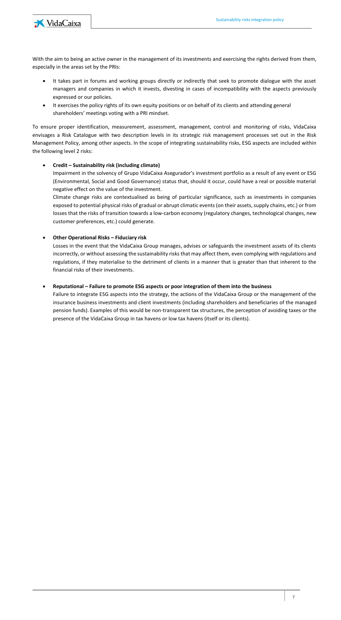

With the aim to being an active owner in the management of its investments and exercising the rights derived from them, especially in the areas set by the PRIs:

- It takes part in forums and working groups directly or indirectly that seek to promote dialogue with the asset managers and companies in which it invests, divesting in cases of incompatibility with the aspects previously expressed or our policies.
- It exercises the policy rights of its own equity positions or on behalf of its clients and attending general shareholders' meetings voting with a PRI mindset.

To ensure proper identification, measurement, assessment, management, control and monitoring of risks, VidaCaixa envisages a Risk Catalogue with two description levels in its strategic risk management processes set out in the Risk Management Policy, among other aspects. In the scope of integrating sustainability risks, ESG aspects are included within the following level 2 risks:

#### • **Credit – Sustainability risk (including climate)**

Impairment in the solvency of Grupo VidaCaixa Asegurador's investment portfolio as a result of any event or ESG (Environmental, Social and Good Governance) status that, should it occur, could have a real or possible material negative effect on the value of the investment.

Climate change risks are contextualised as being of particular significance, such as investments in companies exposed to potential physical risks of gradual or abrupt climatic events (on their assets, supply chains, etc.) or from losses that the risks of transition towards a low-carbon economy (regulatory changes, technological changes, new customer preferences, etc.) could generate.

#### • **Other Operational Risks – Fiduciary risk**

Losses in the event that the VidaCaixa Group manages, advises or safeguards the investment assets of its clients incorrectly, or without assessing the sustainability risks that may affect them, even complying with regulations and regulations, if they materialise to the detriment of clients in a manner that is greater than that inherent to the financial risks of their investments.

#### • **Reputational – Failure to promote ESG aspects or poor integration of them into the business**

Failure to integrate ESG aspects into the strategy, the actions of the VidaCaixa Group or the management of the insurance business investments and client investments (including shareholders and beneficiaries of the managed pension funds). Examples of this would be non-transparent tax structures, the perception of avoiding taxes or the presence of the VidaCaixa Group in tax havens or low tax havens (itself or its clients).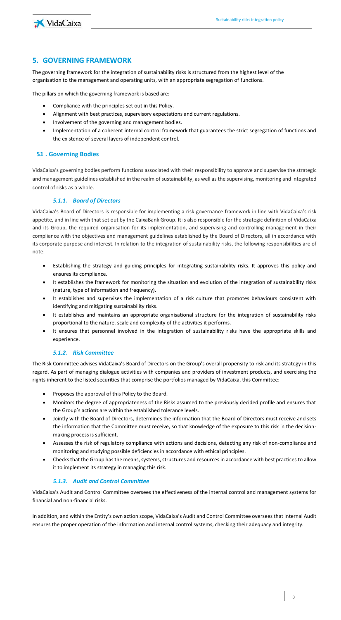



# <span id="page-7-0"></span>**5. GOVERNING FRAMEWORK**

The governing framework for the integration of sustainability risks is structured from the highest level of the organisation to the management and operating units, with an appropriate segregation of functions.

The pillars on which the governing framework is based are:

- Compliance with the principles set out in this Policy.
- Alignment with best practices, supervisory expectations and current regulations.
- Involvement of the governing and management bodies.
- Implementation of a coherent internal control framework that guarantees the strict segregation of functions and the existence of several layers of independent control.

#### <span id="page-7-1"></span>**5.1 . Governing Bodies**

VidaCaixa's governing bodies perform functions associated with their responsibility to approve and supervise the strategic and management guidelines established in the realm of sustainability, as well as the supervising, monitoring and integrated control of risks as a whole.

#### *5.1.1. Board of Directors*

<span id="page-7-2"></span>VidaCaixa's Board of Directors is responsible for implementing a risk governance framework in line with VidaCaixa's risk appetite, and in line with that set out by the CaixaBank Group. It is also responsible for the strategic definition of VidaCaixa and its Group, the required organisation for its implementation, and supervising and controlling management in their compliance with the objectives and management guidelines established by the Board of Directors, all in accordance with its corporate purpose and interest. In relation to the integration of sustainability risks, the following responsibilities are of note:

- Establishing the strategy and guiding principles for integrating sustainability risks. It approves this policy and ensures its compliance.
- It establishes the framework for monitoring the situation and evolution of the integration of sustainability risks (nature, type of information and frequency).
- It establishes and supervises the implementation of a risk culture that promotes behaviours consistent with identifying and mitigating sustainability risks.
- It establishes and maintains an appropriate organisational structure for the integration of sustainability risks proportional to the nature, scale and complexity of the activities it performs.
- It ensures that personnel involved in the integration of sustainability risks have the appropriate skills and experience.

#### *5.1.2. Risk Committee*

<span id="page-7-3"></span>The Risk Committee advises VidaCaixa's Board of Directors on the Group's overall propensity to risk and its strategy in this regard. As part of managing dialogue activities with companies and providers of investment products, and exercising the rights inherent to the listed securities that comprise the portfolios managed by VidaCaixa, this Committee:

- Proposes the approval of this Policy to the Board.
- Monitors the degree of appropriateness of the Risks assumed to the previously decided profile and ensures that the Group's actions are within the established tolerance levels.
- Jointly with the Board of Directors, determines the information that the Board of Directors must receive and sets the information that the Committee must receive, so that knowledge of the exposure to this risk in the decisionmaking process is sufficient.
- Assesses the risk of regulatory compliance with actions and decisions, detecting any risk of non-compliance and monitoring and studying possible deficiencies in accordance with ethical principles.
- Checks that the Group has the means, systems, structures and resources in accordance with best practices to allow it to implement its strategy in managing this risk.

#### *5.1.3. Audit and Control Committee*

<span id="page-7-4"></span>VidaCaixa's Audit and Control Committee oversees the effectiveness of the internal control and management systems for financial and non-financial risks.

In addition, and within the Entity's own action scope, VidaCaixa's Audit and Control Committee oversees that Internal Audit ensures the proper operation of the information and internal control systems, checking their adequacy and integrity.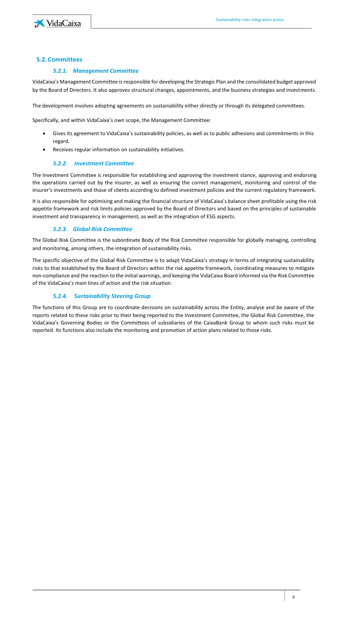

#### <span id="page-8-1"></span><span id="page-8-0"></span>**5.2.Committees**

#### *5.2.1. Management Committee*

VidaCaixa's Management Committee is responsible for developing the Strategic Plan and the consolidated budget approved by the Board of Directors. It also approves structural changes, appointments, and the business strategies and investments.

The development involves adopting agreements on sustainability either directly or through its delegated committees.

Specifically, and within VidaCaixa's own scope, the Management Committee:

- Gives its agreement to VidaCaixa's sustainability policies, as well as to public adhesions and commitments in this regard.
- Receives regular information on sustainability initiatives.

#### *5.2.2. Investment Committee*

<span id="page-8-2"></span>The Investment Committee is responsible for establishing and approving the investment stance, approving and endorsing the operations carried out by the insurer, as well as ensuring the correct management, monitoring and control of the insurer's investments and those of clients according to defined investment policies and the current regulatory framework.

It is also responsible for optimising and making the financial structure of VidaCaixa's balance sheet profitable using the risk appetite framework and risk limits policies approved by the Board of Directors and based on the principles of sustainable investment and transparency in management, as well as the integration of ESG aspects.

#### *5.2.3. Global Risk Committee*

<span id="page-8-3"></span>The Global Risk Committee is the subordinate Body of the Risk Committee responsible for globally managing, controlling and monitoring, among others, the integration of sustainability risks.

The specific objective of the Global Risk Committee is to adapt VidaCaixa's strategy in terms of integrating sustainability risks to that established by the Board of Directors within the risk appetite framework, coordinating measures to mitigate non-compliance and the reaction to the initial warnings, and keeping the VidaCaixa Board informed via the Risk Committee of the VidaCaixa's main lines of action and the risk situation.

#### *5.2.4. Sustainability Steering Group*

<span id="page-8-4"></span>The functions of this Group are to coordinate decisions on sustainability across the Entity, analyse and be aware of the reports related to these risks prior to their being reported to the Investment Committee, the Global Risk Committee, the VidaCaixa's Governing Bodies or the Committees of subsidiaries of the CaixaBank Group to whom such risks must be reported. Its functions also include the monitoring and promotion of action plans related to those risks.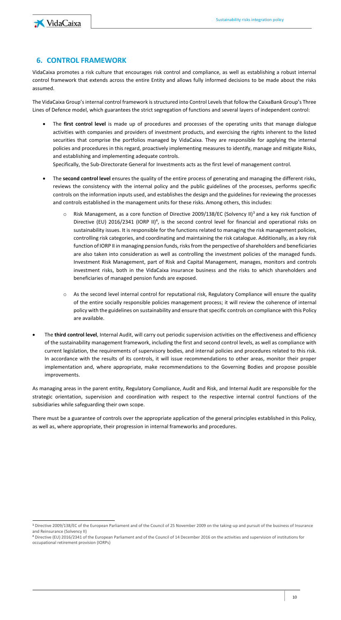

# <span id="page-9-0"></span>**6. CONTROL FRAMEWORK**

VidaCaixa promotes a risk culture that encourages risk control and compliance, as well as establishing a robust internal control framework that extends across the entire Entity and allows fully informed decisions to be made about the risks assumed.

The VidaCaixa Group's internal control framework is structured into Control Levels that follow the CaixaBank Group's Three Lines of Defence model, which guarantees the strict segregation of functions and several layers of independent control:

- The **first control level** is made up of procedures and processes of the operating units that manage dialogue activities with companies and providers of investment products, and exercising the rights inherent to the listed securities that comprise the portfolios managed by VidaCaixa. They are responsible for applying the internal policies and procedures in this regard, proactively implementing measures to identify, manage and mitigate Risks, and establishing and implementing adequate controls. Specifically, the Sub-Directorate General for Investments acts as the first level of management control.
- The **second control level** ensures the quality of the entire process of generating and managing the different risks, reviews the consistency with the internal policy and the public guidelines of the processes, performs specific controls on the information inputs used, and establishes the design and the guidelines for reviewing the processes

and controls established in the management units for these risks. Among others, this includes:

- $\circ$  Risk Management, as a core function of Directive 2009/138/EC (Solvency II)<sup>3</sup> and a key risk function of Directive (EU) 2016/2341 (IORP II)<sup>4</sup>, is the second control level for financial and operational risks on sustainability issues. It is responsible for the functions related to managing the risk management policies, controlling risk categories, and coordinating and maintaining the risk catalogue. Additionally, as a key risk function of IORP II in managing pension funds, risks from the perspective of shareholders and beneficiaries are also taken into consideration as well as controlling the investment policies of the managed funds. Investment Risk Management, part of Risk and Capital Management, manages, monitors and controls investment risks, both in the VidaCaixa insurance business and the risks to which shareholders and beneficiaries of managed pension funds are exposed.
- o As the second level internal control for reputational risk, Regulatory Compliance will ensure the quality of the entire socially responsible policies management process; it will review the coherence of internal policy with the guidelines on sustainability and ensure that specific controls on compliance with this Policy are available.
- The **third control level**, Internal Audit, will carry out periodic supervision activities on the effectiveness and efficiency of the sustainability management framework, including the first and second control levels, as well as compliance with current legislation, the requirements of supervisory bodies, and internal policies and procedures related to this risk. In accordance with the results of its controls, it will issue recommendations to other areas, monitor their proper implementation and, where appropriate, make recommendations to the Governing Bodies and propose possible improvements.

As managing areas in the parent entity, Regulatory Compliance, Audit and Risk, and Internal Audit are responsible for the strategic orientation, supervision and coordination with respect to the respective internal control functions of the subsidiaries while safeguarding their own scope.

There must be a guarantee of controls over the appropriate application of the general principles established in this Policy, as well as, where appropriate, their progression in internal frameworks and procedures.

<sup>3</sup> Directive 2009/138/EC of the European Parliament and of the Council of 25 November 2009 on the taking-up and pursuit of the business of Insurance and Reinsurance (Solvency II)

<sup>4</sup> Directive (EU) 2016/2341 of the European Parliament and of the Council of 14 December 2016 on the activities and supervision of institutions for occupational retirement provision (IORPs)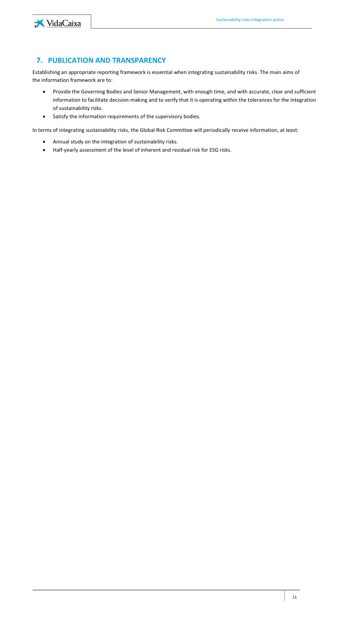

# <span id="page-10-0"></span>**7. PUBLICATION AND TRANSPARENCY**

Establishing an appropriate reporting framework is essential when integrating sustainability risks. The main aims of the information framework are to:

- Provide the Governing Bodies and Senior Management, with enough time, and with accurate, clear and sufficient information to facilitate decision-making and to verify that it is operating within the tolerances for the integration of sustainability risks.
- Satisfy the information requirements of the supervisory bodies.

In terms of integrating sustainability risks, the Global Risk Committee will periodically receive information, at least:

- Annual study on the integration of sustainability risks.
- Half-yearly assessment of the level of inherent and residual risk for ESG risks.